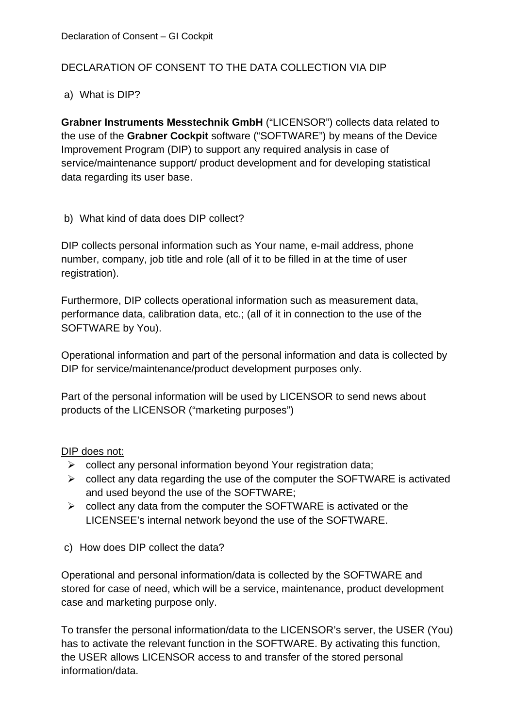# DECLARATION OF CONSENT TO THE DATA COLLECTION VIA DIP

### a) What is DIP?

**Grabner Instruments Messtechnik GmbH** ("LICENSOR") collects data related to the use of the **Grabner Cockpit** software ("SOFTWARE") by means of the Device Improvement Program (DIP) to support any required analysis in case of service/maintenance support/ product development and for developing statistical data regarding its user base.

b) What kind of data does DIP collect?

DIP collects personal information such as Your name, e-mail address, phone number, company, job title and role (all of it to be filled in at the time of user registration).

Furthermore, DIP collects operational information such as measurement data, performance data, calibration data, etc.; (all of it in connection to the use of the SOFTWARE by You).

Operational information and part of the personal information and data is collected by DIP for service/maintenance/product development purposes only.

Part of the personal information will be used by LICENSOR to send news about products of the LICENSOR ("marketing purposes")

#### DIP does not:

- $\triangleright$  collect any personal information beyond Your registration data;
- $\triangleright$  collect any data regarding the use of the computer the SOFTWARE is activated and used beyond the use of the SOFTWARE;
- $\triangleright$  collect any data from the computer the SOFTWARE is activated or the LICENSEE's internal network beyond the use of the SOFTWARE.
- c) How does DIP collect the data?

Operational and personal information/data is collected by the SOFTWARE and stored for case of need, which will be a service, maintenance, product development case and marketing purpose only.

To transfer the personal information/data to the LICENSOR's server, the USER (You) has to activate the relevant function in the SOFTWARE. By activating this function, the USER allows LICENSOR access to and transfer of the stored personal information/data.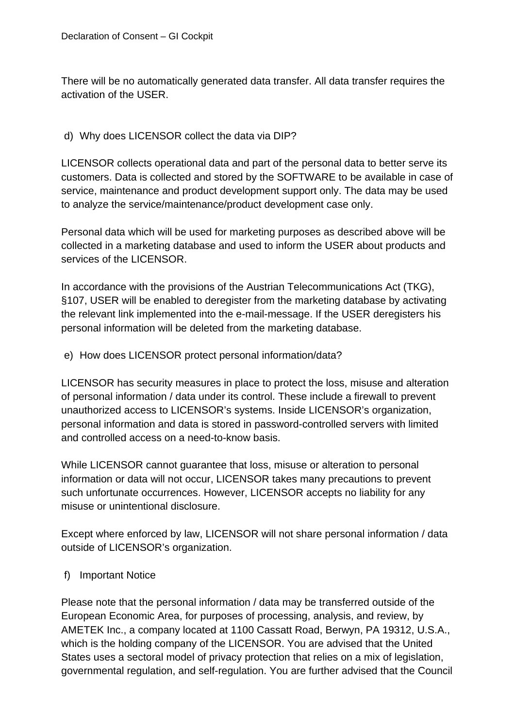There will be no automatically generated data transfer. All data transfer requires the activation of the USER.

### d) Why does LICENSOR collect the data via DIP?

LICENSOR collects operational data and part of the personal data to better serve its customers. Data is collected and stored by the SOFTWARE to be available in case of service, maintenance and product development support only. The data may be used to analyze the service/maintenance/product development case only.

Personal data which will be used for marketing purposes as described above will be collected in a marketing database and used to inform the USER about products and services of the LICENSOR.

In accordance with the provisions of the Austrian Telecommunications Act (TKG), §107, USER will be enabled to deregister from the marketing database by activating the relevant link implemented into the e-mail-message. If the USER deregisters his personal information will be deleted from the marketing database.

#### e) How does LICENSOR protect personal information/data?

LICENSOR has security measures in place to protect the loss, misuse and alteration of personal information / data under its control. These include a firewall to prevent unauthorized access to LICENSOR's systems. Inside LICENSOR's organization, personal information and data is stored in password-controlled servers with limited and controlled access on a need-to-know basis.

While LICENSOR cannot guarantee that loss, misuse or alteration to personal information or data will not occur, LICENSOR takes many precautions to prevent such unfortunate occurrences. However, LICENSOR accepts no liability for any misuse or unintentional disclosure.

Except where enforced by law, LICENSOR will not share personal information / data outside of LICENSOR's organization.

## f) Important Notice

Please note that the personal information / data may be transferred outside of the European Economic Area, for purposes of processing, analysis, and review, by AMETEK Inc., a company located at 1100 Cassatt Road, Berwyn, PA 19312, U.S.A., which is the holding company of the LICENSOR. You are advised that the United States uses a sectoral model of privacy protection that relies on a mix of legislation. governmental regulation, and self-regulation. You are further advised that the Council